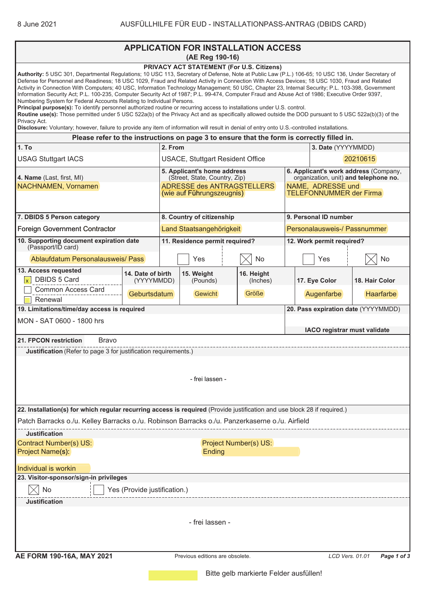|                                                                                                                                                                                                                                                                                                                                                                                                                                                                                                                                                                                                                                                                                                                                                                                                                                                                                                                                                                                                                                                                                                                                             |                                 | <b>APPLICATION FOR INSTALLATION ACCESS</b><br>(AE Reg 190-16)                                                           |                        |                              |                                                                                                                                       |                  |  |  |
|---------------------------------------------------------------------------------------------------------------------------------------------------------------------------------------------------------------------------------------------------------------------------------------------------------------------------------------------------------------------------------------------------------------------------------------------------------------------------------------------------------------------------------------------------------------------------------------------------------------------------------------------------------------------------------------------------------------------------------------------------------------------------------------------------------------------------------------------------------------------------------------------------------------------------------------------------------------------------------------------------------------------------------------------------------------------------------------------------------------------------------------------|---------------------------------|-------------------------------------------------------------------------------------------------------------------------|------------------------|------------------------------|---------------------------------------------------------------------------------------------------------------------------------------|------------------|--|--|
| Authority: 5 USC 301, Departmental Regulations; 10 USC 113, Secretary of Defense, Note at Public Law (P.L.) 106-65; 10 USC 136, Under Secretary of<br>Defense for Personnel and Readiness; 18 USC 1029, Fraud and Related Activity in Connection With Access Devices; 18 USC 1030, Fraud and Related<br>Activity in Connection With Computers; 40 USC, Information Technology Management; 50 USC, Chapter 23, Internal Security; P.L. 103-398, Government<br>Information Security Act; P.L. 100-235, Computer Security Act of 1987; P.L. 99-474, Computer Fraud and Abuse Act of 1986; Executive Order 9397,<br>Numbering System for Federal Accounts Relating to Individual Persons.<br>Principal purpose(s): To identify personnel authorized routine or recurring access to installations under U.S. control.<br>Routine use(s): Those permitted under 5 USC 522a(b) of the Privacy Act and as specifically allowed outside the DOD pursuant to 5 USC 522a(b)(3) of the<br>Privacy Act.<br>Disclosure: Voluntary; however, failure to provide any item of information will result in denial of entry onto U.S.-controlled installations. |                                 | PRIVACY ACT STATEMENT (For U.S. Citizens)                                                                               |                        |                              |                                                                                                                                       |                  |  |  |
|                                                                                                                                                                                                                                                                                                                                                                                                                                                                                                                                                                                                                                                                                                                                                                                                                                                                                                                                                                                                                                                                                                                                             |                                 | Please refer to the instructions on page 3 to ensure that the form is correctly filled in.                              |                        |                              | 3. Date (YYYYMMDD)                                                                                                                    |                  |  |  |
| 1. To                                                                                                                                                                                                                                                                                                                                                                                                                                                                                                                                                                                                                                                                                                                                                                                                                                                                                                                                                                                                                                                                                                                                       |                                 | 2. From                                                                                                                 |                        |                              |                                                                                                                                       |                  |  |  |
| <b>USAG Stuttgart IACS</b>                                                                                                                                                                                                                                                                                                                                                                                                                                                                                                                                                                                                                                                                                                                                                                                                                                                                                                                                                                                                                                                                                                                  |                                 | <b>USACE, Stuttgart Resident Office</b>                                                                                 |                        |                              | 20210615                                                                                                                              |                  |  |  |
| 4. Name (Last, first, MI)<br>NACHNAMEN, Vornamen                                                                                                                                                                                                                                                                                                                                                                                                                                                                                                                                                                                                                                                                                                                                                                                                                                                                                                                                                                                                                                                                                            |                                 | 5. Applicant's home address<br>(Street, State, Country, Zip)<br>ADRESSE des ANTRAGSTELLERS<br>(wie auf Führungszeugnis) |                        |                              | 6. Applicant's work address (Company,<br>organization, unit) and telephone no.<br>NAME, ADRESSE und<br><b>TELEFONNUMMER der Firma</b> |                  |  |  |
| 7. DBIDS 5 Person category                                                                                                                                                                                                                                                                                                                                                                                                                                                                                                                                                                                                                                                                                                                                                                                                                                                                                                                                                                                                                                                                                                                  |                                 | 8. Country of citizenship                                                                                               |                        |                              | 9. Personal ID number                                                                                                                 |                  |  |  |
| <b>Foreign Government Contractor</b>                                                                                                                                                                                                                                                                                                                                                                                                                                                                                                                                                                                                                                                                                                                                                                                                                                                                                                                                                                                                                                                                                                        |                                 | Land Staatsangehörigkeit                                                                                                |                        | Personalausweis-/ Passnummer |                                                                                                                                       |                  |  |  |
| 10. Supporting document expiration date<br>(Passport/ID card)                                                                                                                                                                                                                                                                                                                                                                                                                                                                                                                                                                                                                                                                                                                                                                                                                                                                                                                                                                                                                                                                               |                                 | 11. Residence permit required?                                                                                          |                        |                              | 12. Work permit required?                                                                                                             |                  |  |  |
| Ablaufdatum Personalausweis/ Pass                                                                                                                                                                                                                                                                                                                                                                                                                                                                                                                                                                                                                                                                                                                                                                                                                                                                                                                                                                                                                                                                                                           |                                 | Yes                                                                                                                     | No                     |                              | Yes                                                                                                                                   | No               |  |  |
| 13. Access requested<br>DBIDS 5 Card<br><b>Common Access Card</b>                                                                                                                                                                                                                                                                                                                                                                                                                                                                                                                                                                                                                                                                                                                                                                                                                                                                                                                                                                                                                                                                           | 14. Date of birth<br>(YYYYMMDD) | 15. Weight<br>(Pounds)                                                                                                  | 16. Height<br>(Inches) |                              | 17. Eye Color                                                                                                                         | 18. Hair Color   |  |  |
| Renewal                                                                                                                                                                                                                                                                                                                                                                                                                                                                                                                                                                                                                                                                                                                                                                                                                                                                                                                                                                                                                                                                                                                                     | Geburtsdatum                    | Gewicht                                                                                                                 | Größe                  |                              | Augenfarbe                                                                                                                            | <b>Haarfarbe</b> |  |  |
| 19. Limitations/time/day access is required<br>20. Pass expiration date (YYYYMMDD)                                                                                                                                                                                                                                                                                                                                                                                                                                                                                                                                                                                                                                                                                                                                                                                                                                                                                                                                                                                                                                                          |                                 |                                                                                                                         |                        |                              |                                                                                                                                       |                  |  |  |
| MON - SAT 0600 - 1800 hrs                                                                                                                                                                                                                                                                                                                                                                                                                                                                                                                                                                                                                                                                                                                                                                                                                                                                                                                                                                                                                                                                                                                   |                                 |                                                                                                                         |                        |                              | IACO registrar must validate                                                                                                          |                  |  |  |
| 21. FPCON restriction<br>Bravo                                                                                                                                                                                                                                                                                                                                                                                                                                                                                                                                                                                                                                                                                                                                                                                                                                                                                                                                                                                                                                                                                                              |                                 |                                                                                                                         |                        |                              |                                                                                                                                       |                  |  |  |
| <b>Justification</b> (Refer to page 3 for justification requirements.)                                                                                                                                                                                                                                                                                                                                                                                                                                                                                                                                                                                                                                                                                                                                                                                                                                                                                                                                                                                                                                                                      |                                 | - frei lassen -                                                                                                         |                        |                              |                                                                                                                                       |                  |  |  |
| 22. Installation(s) for which regular recurring access is required (Provide justification and use block 28 if required.)                                                                                                                                                                                                                                                                                                                                                                                                                                                                                                                                                                                                                                                                                                                                                                                                                                                                                                                                                                                                                    |                                 |                                                                                                                         |                        |                              |                                                                                                                                       |                  |  |  |
| Patch Barracks o./u. Kelley Barracks o./u. Robinson Barracks o./u. Panzerkaserne o./u. Airfield                                                                                                                                                                                                                                                                                                                                                                                                                                                                                                                                                                                                                                                                                                                                                                                                                                                                                                                                                                                                                                             |                                 |                                                                                                                         |                        |                              |                                                                                                                                       |                  |  |  |
| <b>Justification</b>                                                                                                                                                                                                                                                                                                                                                                                                                                                                                                                                                                                                                                                                                                                                                                                                                                                                                                                                                                                                                                                                                                                        |                                 |                                                                                                                         |                        |                              |                                                                                                                                       |                  |  |  |
| <b>Contract Number(s) US:</b><br>Project Name(s):                                                                                                                                                                                                                                                                                                                                                                                                                                                                                                                                                                                                                                                                                                                                                                                                                                                                                                                                                                                                                                                                                           | Project Number(s) US:<br>Ending |                                                                                                                         |                        |                              |                                                                                                                                       |                  |  |  |
| Individual is workin                                                                                                                                                                                                                                                                                                                                                                                                                                                                                                                                                                                                                                                                                                                                                                                                                                                                                                                                                                                                                                                                                                                        |                                 |                                                                                                                         |                        |                              |                                                                                                                                       |                  |  |  |
| 23. Visitor-sponsor/sign-in privileges<br>No                                                                                                                                                                                                                                                                                                                                                                                                                                                                                                                                                                                                                                                                                                                                                                                                                                                                                                                                                                                                                                                                                                | Yes (Provide justification.)    |                                                                                                                         |                        |                              |                                                                                                                                       |                  |  |  |
| <b>Justification</b>                                                                                                                                                                                                                                                                                                                                                                                                                                                                                                                                                                                                                                                                                                                                                                                                                                                                                                                                                                                                                                                                                                                        |                                 |                                                                                                                         |                        |                              |                                                                                                                                       |                  |  |  |
|                                                                                                                                                                                                                                                                                                                                                                                                                                                                                                                                                                                                                                                                                                                                                                                                                                                                                                                                                                                                                                                                                                                                             |                                 | - frei lassen -                                                                                                         |                        |                              |                                                                                                                                       |                  |  |  |
| AE FORM 190-16A, MAY 2021                                                                                                                                                                                                                                                                                                                                                                                                                                                                                                                                                                                                                                                                                                                                                                                                                                                                                                                                                                                                                                                                                                                   |                                 | Previous editions are obsolete.                                                                                         |                        |                              | LCD Vers. 01.01                                                                                                                       | Page 1 of 3      |  |  |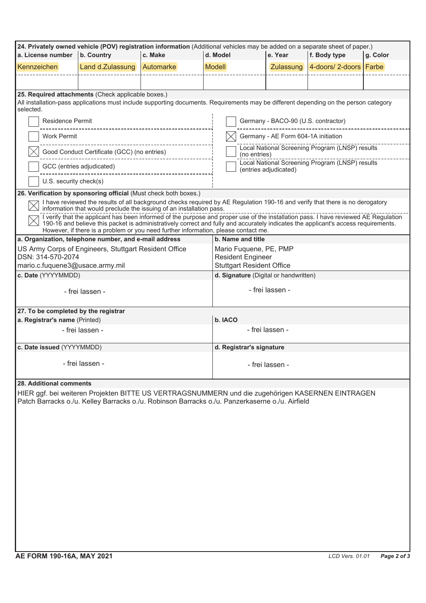| 24. Privately owned vehicle (POV) registration information (Additional vehicles may be added on a separate sheet of paper.)                                                                                                                                                                                                                                     |                                                                  |         |                                       |                                                                          |                       |          |  |  |  |  |  |
|-----------------------------------------------------------------------------------------------------------------------------------------------------------------------------------------------------------------------------------------------------------------------------------------------------------------------------------------------------------------|------------------------------------------------------------------|---------|---------------------------------------|--------------------------------------------------------------------------|-----------------------|----------|--|--|--|--|--|
| a. License number   b. Country                                                                                                                                                                                                                                                                                                                                  |                                                                  | c. Make | d. Model                              | e. Year                                                                  | f. Body type          | g. Color |  |  |  |  |  |
| Kennzeichen                                                                                                                                                                                                                                                                                                                                                     | Land d.Zulassung Automarke                                       |         | <b>Modell</b>                         | Zulassung                                                                | 4-doors/2-doors Farbe |          |  |  |  |  |  |
|                                                                                                                                                                                                                                                                                                                                                                 |                                                                  |         |                                       |                                                                          |                       |          |  |  |  |  |  |
|                                                                                                                                                                                                                                                                                                                                                                 | 25. Required attachments (Check applicable boxes.)               |         |                                       |                                                                          |                       |          |  |  |  |  |  |
| All installation-pass applications must include supporting documents. Requirements may be different depending on the person category<br>selected.                                                                                                                                                                                                               |                                                                  |         |                                       |                                                                          |                       |          |  |  |  |  |  |
| Residence Permit<br>-------------------------------------                                                                                                                                                                                                                                                                                                       |                                                                  |         |                                       | Germany - BACO-90 (U.S. contractor)                                      |                       |          |  |  |  |  |  |
| Work Permit                                                                                                                                                                                                                                                                                                                                                     |                                                                  |         |                                       | Germany - AE Form 604-1A initiation                                      |                       |          |  |  |  |  |  |
| Good Conduct Certificate (GCC) (no entries)<br>-------------------------------------                                                                                                                                                                                                                                                                            |                                                                  |         |                                       | Local National Screening Program (LNSP) results<br>(no entries)          |                       |          |  |  |  |  |  |
| GCC (entries adjudicated)<br>-------------------------------                                                                                                                                                                                                                                                                                                    |                                                                  |         |                                       | Local National Screening Program (LNSP) results<br>(entries adjudicated) |                       |          |  |  |  |  |  |
| U.S. security check(s)                                                                                                                                                                                                                                                                                                                                          |                                                                  |         |                                       |                                                                          |                       |          |  |  |  |  |  |
|                                                                                                                                                                                                                                                                                                                                                                 | 26. Verification by sponsoring official (Must check both boxes.) |         |                                       |                                                                          |                       |          |  |  |  |  |  |
| I have reviewed the results of all background checks required by AE Regulation 190-16 and verify that there is no derogatory<br>information that would preclude the issuing of an installation pass.                                                                                                                                                            |                                                                  |         |                                       |                                                                          |                       |          |  |  |  |  |  |
|                                                                                                                                                                                                                                                                                                                                                                 |                                                                  |         |                                       |                                                                          |                       |          |  |  |  |  |  |
| I verify that the applicant has been informed of the purpose and proper use of the installation pass. I have reviewed AE Regulation<br>190-16 and believe this packet is administratively correct and fully and accurately indicates the applicant's access requirements.<br>However, if there is a problem or you need further information, please contact me. |                                                                  |         |                                       |                                                                          |                       |          |  |  |  |  |  |
|                                                                                                                                                                                                                                                                                                                                                                 | a. Organization, telephone number, and e-mail address            |         | b. Name and title                     |                                                                          |                       |          |  |  |  |  |  |
|                                                                                                                                                                                                                                                                                                                                                                 | US Army Corps of Engineers, Stuttgart Resident Office            |         | Mario Fuquene, PE, PMP                |                                                                          |                       |          |  |  |  |  |  |
| DSN: 314-570-2074                                                                                                                                                                                                                                                                                                                                               |                                                                  |         |                                       | <b>Resident Engineer</b>                                                 |                       |          |  |  |  |  |  |
| mario.c.fuquene3@usace.army.mil                                                                                                                                                                                                                                                                                                                                 |                                                                  |         |                                       | <b>Stuttgart Resident Office</b>                                         |                       |          |  |  |  |  |  |
| c. Date (YYYYMMDD)                                                                                                                                                                                                                                                                                                                                              |                                                                  |         | d. Signature (Digital or handwritten) |                                                                          |                       |          |  |  |  |  |  |
| - frei lassen -                                                                                                                                                                                                                                                                                                                                                 |                                                                  |         |                                       | - frei lassen -                                                          |                       |          |  |  |  |  |  |
| 27. To be completed by the registrar                                                                                                                                                                                                                                                                                                                            |                                                                  |         |                                       |                                                                          |                       |          |  |  |  |  |  |
| a. Registrar's name (Printed)                                                                                                                                                                                                                                                                                                                                   |                                                                  |         | b. IACO                               |                                                                          |                       |          |  |  |  |  |  |
|                                                                                                                                                                                                                                                                                                                                                                 | - frei lassen -                                                  |         |                                       | - frei lassen -                                                          |                       |          |  |  |  |  |  |
| c. Date issued (YYYYMMDD)                                                                                                                                                                                                                                                                                                                                       |                                                                  |         |                                       | d. Registrar's signature                                                 |                       |          |  |  |  |  |  |
| - frei lassen -                                                                                                                                                                                                                                                                                                                                                 |                                                                  |         |                                       | - frei lassen -                                                          |                       |          |  |  |  |  |  |
| 28. Additional comments                                                                                                                                                                                                                                                                                                                                         |                                                                  |         |                                       |                                                                          |                       |          |  |  |  |  |  |
| HIER ggf. bei weiteren Projekten BITTE US VERTRAGSNUMMERN und die zugehörigen KASERNEN EINTRAGEN<br>Patch Barracks o./u. Kelley Barracks o./u. Robinson Barracks o./u. Panzerkaserne o./u. Airfield                                                                                                                                                             |                                                                  |         |                                       |                                                                          |                       |          |  |  |  |  |  |
|                                                                                                                                                                                                                                                                                                                                                                 |                                                                  |         |                                       |                                                                          |                       |          |  |  |  |  |  |
|                                                                                                                                                                                                                                                                                                                                                                 |                                                                  |         |                                       |                                                                          |                       |          |  |  |  |  |  |
|                                                                                                                                                                                                                                                                                                                                                                 |                                                                  |         |                                       |                                                                          |                       |          |  |  |  |  |  |
|                                                                                                                                                                                                                                                                                                                                                                 |                                                                  |         |                                       |                                                                          |                       |          |  |  |  |  |  |
|                                                                                                                                                                                                                                                                                                                                                                 |                                                                  |         |                                       |                                                                          |                       |          |  |  |  |  |  |
|                                                                                                                                                                                                                                                                                                                                                                 |                                                                  |         |                                       |                                                                          |                       |          |  |  |  |  |  |
|                                                                                                                                                                                                                                                                                                                                                                 |                                                                  |         |                                       |                                                                          |                       |          |  |  |  |  |  |
|                                                                                                                                                                                                                                                                                                                                                                 |                                                                  |         |                                       |                                                                          |                       |          |  |  |  |  |  |
|                                                                                                                                                                                                                                                                                                                                                                 |                                                                  |         |                                       |                                                                          |                       |          |  |  |  |  |  |
|                                                                                                                                                                                                                                                                                                                                                                 |                                                                  |         |                                       |                                                                          |                       |          |  |  |  |  |  |
|                                                                                                                                                                                                                                                                                                                                                                 |                                                                  |         |                                       |                                                                          |                       |          |  |  |  |  |  |